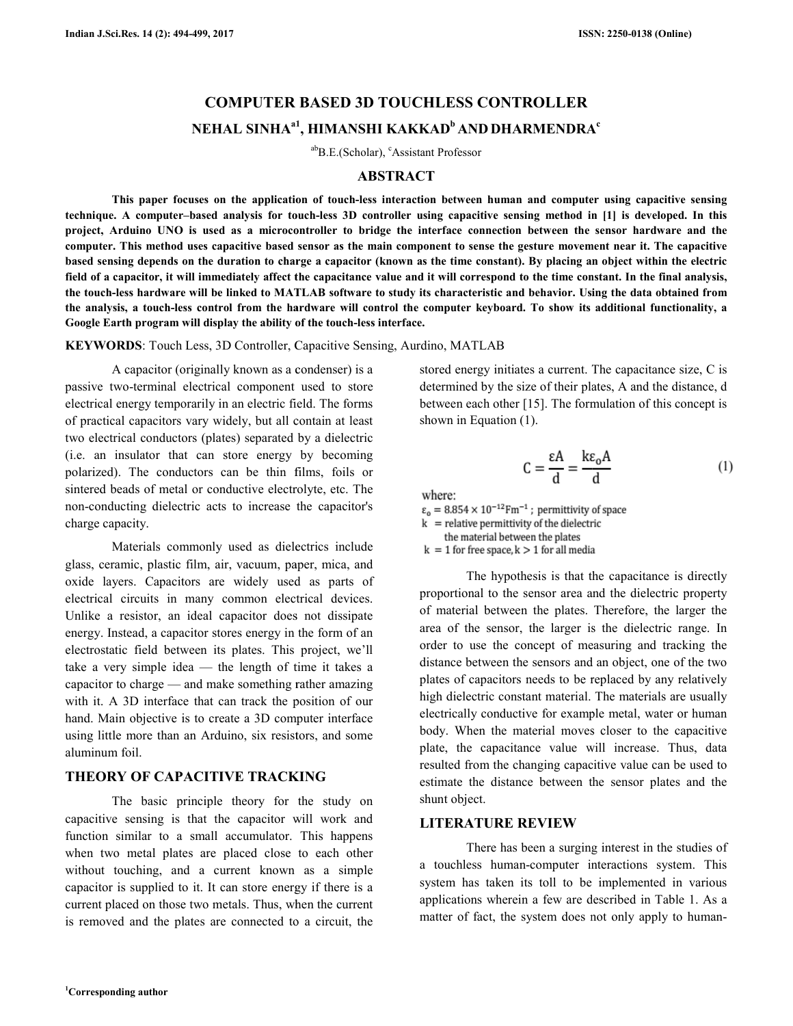# **COMPUTER BASED 3D TOUCHLESS CONTROLLER TOUCHLESS CONTROLLER NEHAL SINHAa1 , HIMANSHI KAKKAD<sup>b</sup>AND DHARMENDRA c**

abB.E.(Scholar), <sup>c</sup>Assistant Professor

### **ABSTRACT**

This paper focuses on the application of touch-less interaction between human and computer using capacitive sensing technique. A computer–based analysis for touch-less 3D controller using capacitive sensing method in [1] is developed. In this **project, Arduino UNO is used as a microcontroller to bridge the interface connection between the sensor hardware and the computer. This method uses capacitive based sensor as the main component to sense the gesture movement ne based sensing depends on the duration to charge a capacitor (known as the time constant). By placing an object within the ele** field of a capacitor, it will immediately affect the capacitance value and it will correspond to the time constant. In the final **the touch-less hardware will be linked to MATLAB software to study its characteristic and behavior. Using the data obtained from**  the touch-less hardware will be linked to MATLAB software to study its characteristic and behavior. Using the data obtained from<br>the analysis, a touch-less control from the hardware will control the computer keyboard. To s Google Earth program will display the ability of the touch-less interface. project, Arduino UNO is used as a microcontroller to bridge the interface connection between the sensor hardware and the<br>computer. This method uses capacitive based sensor as the main component to sense the gesture movemen less interaction between human and computer using capacitive sensing<br>controller using capacitive sensing method in [1] is developed. In this<br>bridge the interface connection between the sensor hardware and the<br>e main compon **electric** 

KEYWORDS: Touch Less, 3D Controller, Capacitive Sensing, Aurdino, MATLAB

A capacitor (originally known as a condenser) is a passive two-terminal electrical component used to store electrical energy temporarily in an electric field. The forms of practical capacitors vary widely, but all contain at least two electrical conductors (plates) separated by a dielectric (i.e. an insulator that can store energy by becoming polarized). The conductors can be thin films, foils or sintered beads of metal or conductive electrolyte, etc. The non-conducting dielectric acts to increase the capacitor's charge capacity. A capacitor (originally known as a condenser) is a<br>passive two-terminal electrical component used to store<br>electrical energy temporarily in an electric field. The forms two electrical conductors (plates) separated by a dielectric (i.e. an insulator that can store energy by becoming polarized). The conductors can be thin films, foils or

 Materials commonly used as dielectrics include glass, ceramic, plastic film, air, vacuum, paper, mica, and oxide layers. Capacitors are widely used as parts of electrical circuits in many common electrical devices. electrical devices. Unlike a resistor, an ideal capacitor does not dissipate energy. Instead, a capacitor stores energy in the form of an energy. Instead, a capacitor stores energy in the form of an electrostatic field between its plates. This project, we'll take a very simple idea — the length of time it takes a capacitor to charge — and make something rather amazing with it. A 3D interface that can track the position of our hand. Main objective is to create a 3D computer interface using little more than an Arduino, six resistors, and some aluminum foil. take a very simple idea — the length of time it takes a capacitor to charge — and make something rather amazing with it. A 3D interface that can track the position of our hand. Main objective is to create a 3D computer int

# **THEORY OF CAPACITIVE TRACKING THEORY**

The basic principle theory for the study on capacitive sensing is that the capacitor will work and function similar to a small accumulator. This happens when two metal plates are placed close to each other without touching, and a current known as a simple without touching, and a current known as a simple capacitor is supplied to it. It can store energy if there is a current placed on those two metals. Thus, when the current is removed and the plates are connected to a circuit, the The basic principle theory for the study on capacitive sensing is that the capacitor will work and function similar to a small accumulator. This happens stored energy initiates a current. The capacitance size, C is determined by the size of their plates, A and the distance, d between each other [15]. The formulation of this concept is shown in Equation (1).

$$
C = \frac{\varepsilon A}{d} = \frac{k\varepsilon_0 A}{d} \tag{1}
$$

where:

The hypothesis is that the capacitance is directly proportional to the sensor area and the dielectric property of material between the plates. Therefore, the larger the area of the sensor, the larger is the dielectric range. In order to use the concept of measuring and tracking the distance between the sensors and an object, one of the two plates of capacitors needs to be replaced by any relatively high dielectric constant material. The materials are usually electrically conductive for example metal, water or human body. When the material moves closer to the capacitive plate, the capacitance value will increase. Thus, data resulted from the changing capacitive value can be used to estimate the distance between the sensor plates and the shunt object. by the size of their plates, A and the distance, d<br>
ch other [15]. The formulation of this concept is<br>
quation (1).<br>  $C = \frac{\epsilon A}{d} = \frac{k\epsilon_0 A}{d}$  (1)<br>
10<sup>-12</sup>Fm<sup>-1</sup>; permittivity of space<br>
permittivity of the dielectric<br>
rria electrically conductive for example metal, water or human<br>body. When the material moves closer to the capacitive<br>plate, the capacitance value will increase. Thus, data<br>resulted from the changing capacitive value can be use

# **LITERATURE REVIEW**

There has been a surging interest in the studies of a touchless human-computer interactions system. This system has taken its toll to be implemented in various applications wherein a few are described in Table 1. As a matter of fact, the system does not only apply to human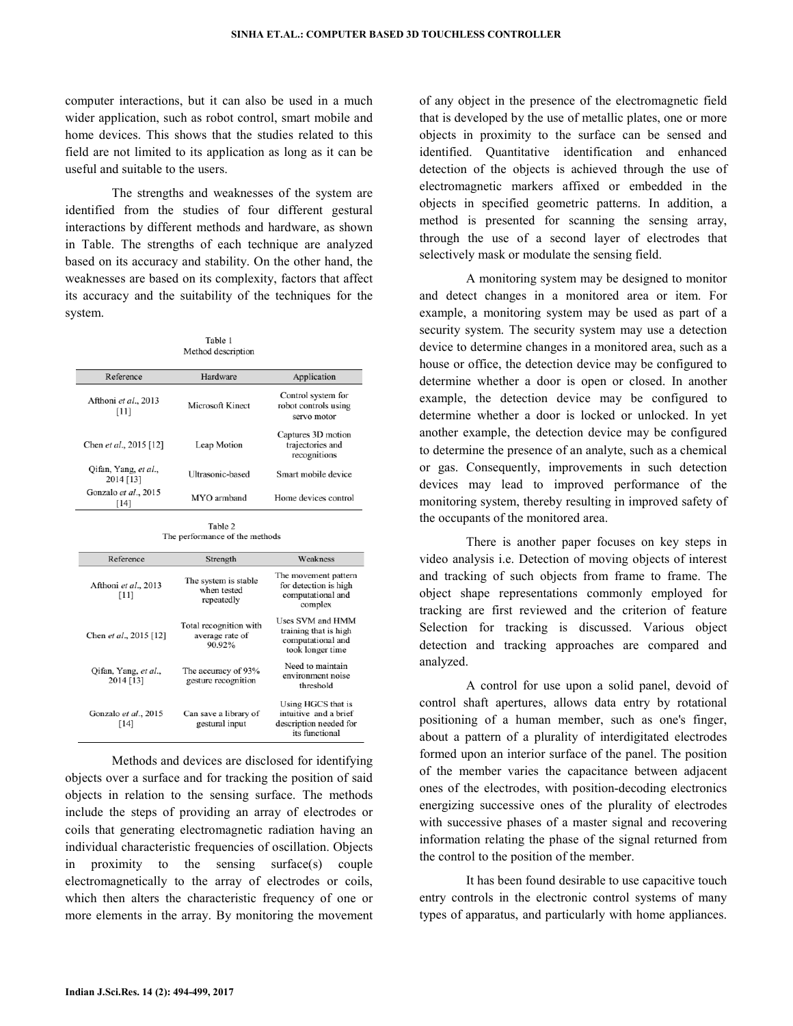computer interactions, but it can also be used in a much wider application, such as robot control, smart mobile and home devices. This shows that the studies related to this field are not limited to its application as long as it can be useful and suitable to the users.

 The strengths and weaknesses of the system are identified from the studies of four different gestural interactions by different methods and hardware, as shown in Table. The strengths of each technique are analyzed based on its accuracy and stability. On the other hand, the weaknesses are based on its complexity, factors that affect its accuracy and the suitability of the techniques for the system.

| Method description                |                  |                                                           |  |
|-----------------------------------|------------------|-----------------------------------------------------------|--|
| Reference                         | Hardware         | Application                                               |  |
| Afthoni et al., 2013<br>[11]      | Microsoft Kinect | Control system for<br>robot controls using<br>servo motor |  |
| Chen et al., 2015 [12]            | Leap Motion      | Captures 3D motion<br>trajectories and<br>recognitions    |  |
| Qifan, Yang, et al.,<br>2014 [13] | Ultrasonic-based | Smart mobile device                                       |  |
| Gonzalo et al., 2015<br>[14]      | MYO armband      | Home devices control                                      |  |

Table 1

Table 2 The performance of the methods

| Reference                         | Strength                                            | Weakness                                                                                |
|-----------------------------------|-----------------------------------------------------|-----------------------------------------------------------------------------------------|
| Afthoni et al., 2013<br>[11]      | The system is stable<br>when tested<br>repeatedly   | The movement pattern<br>for detection is high<br>computational and<br>complex           |
| Chen et al., 2015 [12]            | Total recognition with<br>average rate of<br>90.92% | Uses SVM and HMM<br>training that is high<br>computational and<br>took longer time      |
| Qifan, Yang, et al.,<br>2014 [13] | The accuracy of 93%<br>gesture recognition          | Need to maintain<br>environment noise<br>threshold                                      |
| Gonzalo et al., 2015<br>$[14]$    | Can save a library of<br>gestural input             | Using HGCS that is<br>intuitive and a brief<br>description needed for<br>its functional |

 Methods and devices are disclosed for identifying objects over a surface and for tracking the position of said objects in relation to the sensing surface. The methods include the steps of providing an array of electrodes or coils that generating electromagnetic radiation having an individual characteristic frequencies of oscillation. Objects in proximity to the sensing surface(s) couple electromagnetically to the array of electrodes or coils, which then alters the characteristic frequency of one or more elements in the array. By monitoring the movement

of any object in the presence of the electromagnetic field that is developed by the use of metallic plates, one or more objects in proximity to the surface can be sensed and identified. Quantitative identification and enhanced detection of the objects is achieved through the use of electromagnetic markers affixed or embedded in the objects in specified geometric patterns. In addition, a method is presented for scanning the sensing array, through the use of a second layer of electrodes that selectively mask or modulate the sensing field.

 A monitoring system may be designed to monitor and detect changes in a monitored area or item. For example, a monitoring system may be used as part of a security system. The security system may use a detection device to determine changes in a monitored area, such as a house or office, the detection device may be configured to determine whether a door is open or closed. In another example, the detection device may be configured to determine whether a door is locked or unlocked. In yet another example, the detection device may be configured to determine the presence of an analyte, such as a chemical or gas. Consequently, improvements in such detection devices may lead to improved performance of the monitoring system, thereby resulting in improved safety of the occupants of the monitored area.

 There is another paper focuses on key steps in video analysis i.e. Detection of moving objects of interest and tracking of such objects from frame to frame. The object shape representations commonly employed for tracking are first reviewed and the criterion of feature Selection for tracking is discussed. Various object detection and tracking approaches are compared and analyzed.

 A control for use upon a solid panel, devoid of control shaft apertures, allows data entry by rotational positioning of a human member, such as one's finger, about a pattern of a plurality of interdigitated electrodes formed upon an interior surface of the panel. The position of the member varies the capacitance between adjacent ones of the electrodes, with position-decoding electronics energizing successive ones of the plurality of electrodes with successive phases of a master signal and recovering information relating the phase of the signal returned from the control to the position of the member.

 It has been found desirable to use capacitive touch entry controls in the electronic control systems of many types of apparatus, and particularly with home appliances.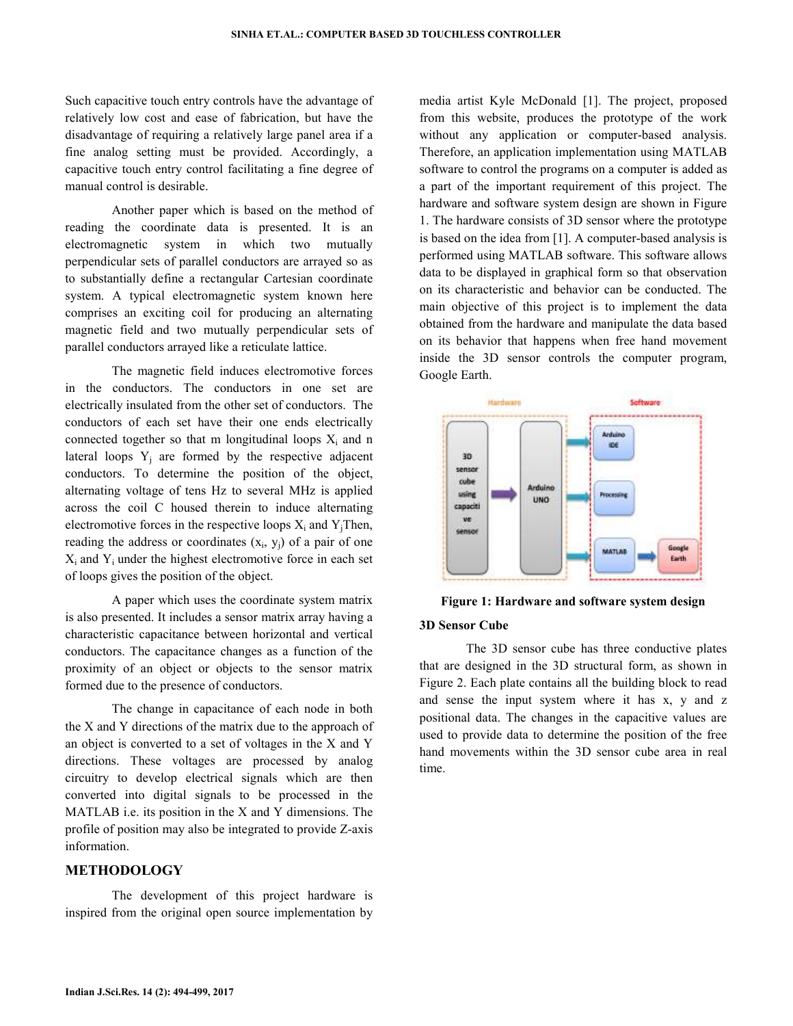Such capacitive touch entry controls have the advantage of relatively low cost and ease of fabrication, but have the disadvantage of requiring a relatively large panel area if a fine analog setting must be provided. Accordingly, a capacitive touch entry control facilitating a fine degree of manual control is desirable.

 Another paper which is based on the method of reading the coordinate data is presented. It is an electromagnetic system in which two mutually perpendicular sets of parallel conductors are arrayed so as to substantially define a rectangular Cartesian coordinate system. A typical electromagnetic system known here comprises an exciting coil for producing an alternating magnetic field and two mutually perpendicular sets of parallel conductors arrayed like a reticulate lattice.

 The magnetic field induces electromotive forces in the conductors. The conductors in one set are electrically insulated from the other set of conductors. The conductors of each set have their one ends electrically connected together so that m longitudinal loops  $X_i$  and n lateral loops  $Y_j$  are formed by the respective adjacent conductors. To determine the position of the object, alternating voltage of tens Hz to several MHz is applied across the coil C housed therein to induce alternating electromotive forces in the respective loops  $X_i$  and  $Y_j$ Then, reading the address or coordinates  $(x_i, y_j)$  of a pair of one  $X_i$  and  $Y_i$  under the highest electromotive force in each set of loops gives the position of the object.

 A paper which uses the coordinate system matrix is also presented. It includes a sensor matrix array having a characteristic capacitance between horizontal and vertical conductors. The capacitance changes as a function of the proximity of an object or objects to the sensor matrix formed due to the presence of conductors.

 The change in capacitance of each node in both the X and Y directions of the matrix due to the approach of an object is converted to a set of voltages in the X and Y directions. These voltages are processed by analog circuitry to develop electrical signals which are then converted into digital signals to be processed in the MATLAB i.e. its position in the X and Y dimensions. The profile of position may also be integrated to provide Z-axis information.

## **METHODOLOGY**

 The development of this project hardware is inspired from the original open source implementation by

media artist Kyle McDonald [1]. The project, proposed from this website, produces the prototype of the work without any application or computer-based analysis. Therefore, an application implementation using MATLAB software to control the programs on a computer is added as a part of the important requirement of this project. The hardware and software system design are shown in Figure 1. The hardware consists of 3D sensor where the prototype is based on the idea from [1]. A computer-based analysis is performed using MATLAB software. This software allows data to be displayed in graphical form so that observation on its characteristic and behavior can be conducted. The main objective of this project is to implement the data obtained from the hardware and manipulate the data based on its behavior that happens when free hand movement inside the 3D sensor controls the computer program, Google Earth.



**Figure 1: Hardware and software system design** 

#### **3D Sensor Cube**

 The 3D sensor cube has three conductive plates that are designed in the 3D structural form, as shown in Figure 2. Each plate contains all the building block to read and sense the input system where it has x, y and z positional data. The changes in the capacitive values are used to provide data to determine the position of the free hand movements within the 3D sensor cube area in real time.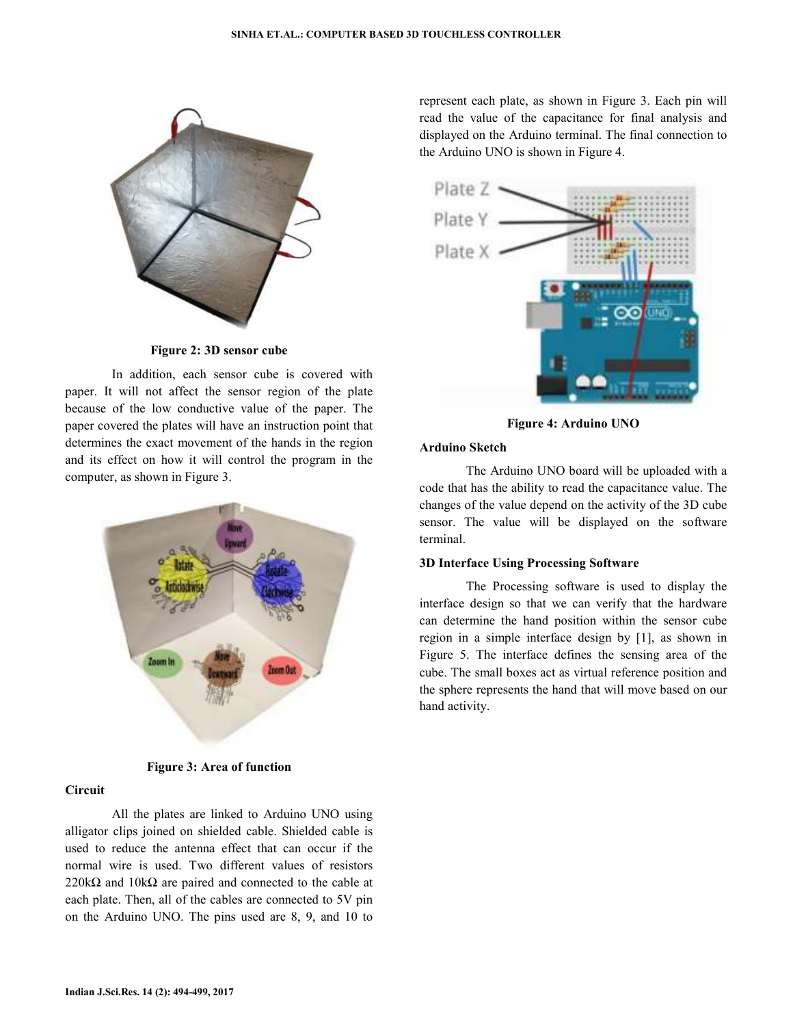

**Figure 2: 3D sensor cube** 

 In addition, each sensor cube is covered with paper. It will not affect the sensor region of the plate because of the low conductive value of the paper. The paper covered the plates will have an instruction point that determines the exact movement of the hands in the region and its effect on how it will control the program in the computer, as shown in Figure 3.



**Figure 3: Area of function** 

## **Circuit**

 All the plates are linked to Arduino UNO using alligator clips joined on shielded cable. Shielded cable is used to reduce the antenna effect that can occur if the normal wire is used. Two different values of resistors 220k $\Omega$  and 10k $\Omega$  are paired and connected to the cable at each plate. Then, all of the cables are connected to 5V pin on the Arduino UNO. The pins used are 8, 9, and 10 to represent each plate, as shown in Figure 3. Each pin will read the value of the capacitance for final analysis and displayed on the Arduino terminal. The final connection to the Arduino UNO is shown in Figure 4.



**Figure 4: Arduino UNO** 

## **Arduino Sketch**

 The Arduino UNO board will be uploaded with a code that has the ability to read the capacitance value. The changes of the value depend on the activity of the 3D cube sensor. The value will be displayed on the software terminal.

#### **3D Interface Using Processing Software**

 The Processing software is used to display the interface design so that we can verify that the hardware can determine the hand position within the sensor cube region in a simple interface design by [1], as shown in Figure 5. The interface defines the sensing area of the cube. The small boxes act as virtual reference position and the sphere represents the hand that will move based on our hand activity.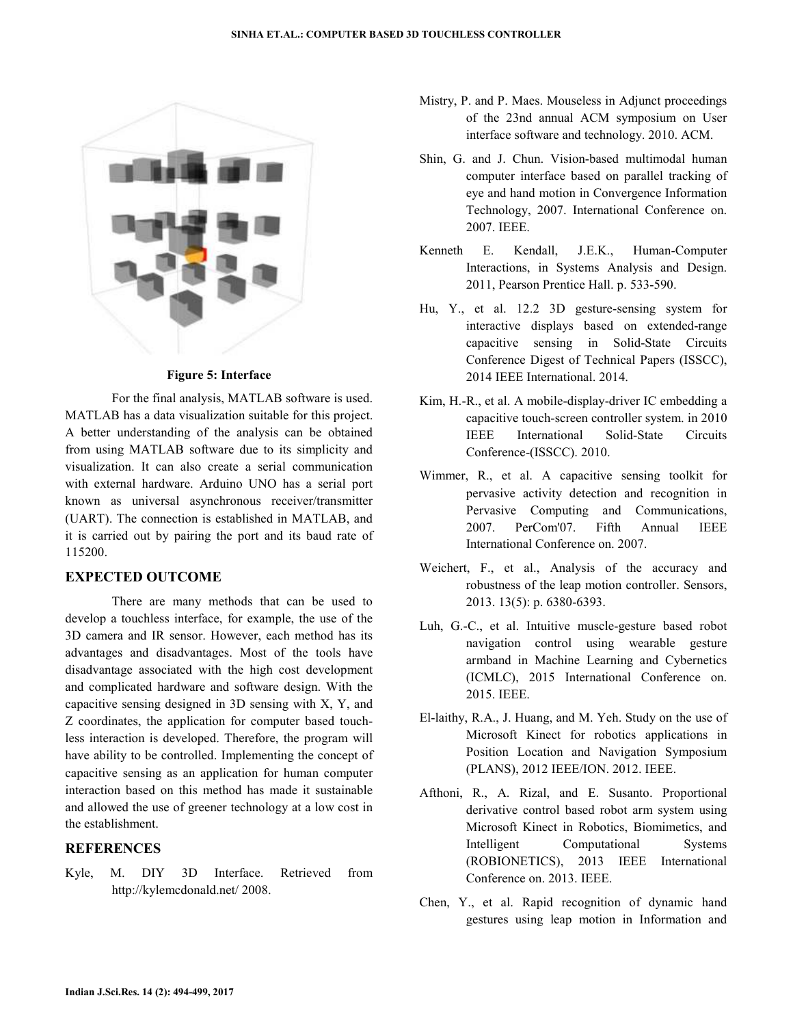

#### **Figure 5: Interface**

 For the final analysis, MATLAB software is used. MATLAB has a data visualization suitable for this project. A better understanding of the analysis can be obtained from using MATLAB software due to its simplicity and visualization. It can also create a serial communication with external hardware. Arduino UNO has a serial port known as universal asynchronous receiver/transmitter (UART). The connection is established in MATLAB, and it is carried out by pairing the port and its baud rate of 115200.

# **EXPECTED OUTCOME**

 There are many methods that can be used to develop a touchless interface, for example, the use of the 3D camera and IR sensor. However, each method has its advantages and disadvantages. Most of the tools have disadvantage associated with the high cost development and complicated hardware and software design. With the capacitive sensing designed in 3D sensing with X, Y, and Z coordinates, the application for computer based touchless interaction is developed. Therefore, the program will have ability to be controlled. Implementing the concept of capacitive sensing as an application for human computer interaction based on this method has made it sustainable and allowed the use of greener technology at a low cost in the establishment.

# **REFERENCES**

Kyle, M. DIY 3D Interface. Retrieved from http://kylemcdonald.net/ 2008.

- Mistry, P. and P. Maes. Mouseless in Adjunct proceedings of the 23nd annual ACM symposium on User interface software and technology. 2010. ACM.
- Shin, G. and J. Chun. Vision-based multimodal human computer interface based on parallel tracking of eye and hand motion in Convergence Information Technology, 2007. International Conference on. 2007. IEEE.
- Kenneth E. Kendall, J.E.K., Human-Computer Interactions, in Systems Analysis and Design. 2011, Pearson Prentice Hall. p. 533-590.
- Hu, Y., et al. 12.2 3D gesture-sensing system for interactive displays based on extended-range capacitive sensing in Solid-State Circuits Conference Digest of Technical Papers (ISSCC), 2014 IEEE International. 2014.
- Kim, H.-R., et al. A mobile-display-driver IC embedding a capacitive touch-screen controller system. in 2010 IEEE International Solid-State Circuits Conference-(ISSCC). 2010.
- Wimmer, R., et al. A capacitive sensing toolkit for pervasive activity detection and recognition in Pervasive Computing and Communications, 2007. PerCom'07. Fifth Annual IEEE International Conference on. 2007.
- Weichert, F., et al., Analysis of the accuracy and robustness of the leap motion controller. Sensors, 2013. 13(5): p. 6380-6393.
- Luh, G.-C., et al. Intuitive muscle-gesture based robot navigation control using wearable gesture armband in Machine Learning and Cybernetics (ICMLC), 2015 International Conference on. 2015. IEEE.
- El-laithy, R.A., J. Huang, and M. Yeh. Study on the use of Microsoft Kinect for robotics applications in Position Location and Navigation Symposium (PLANS), 2012 IEEE/ION. 2012. IEEE.
- Afthoni, R., A. Rizal, and E. Susanto. Proportional derivative control based robot arm system using Microsoft Kinect in Robotics, Biomimetics, and Intelligent Computational Systems (ROBIONETICS), 2013 IEEE International Conference on. 2013. IEEE.
- Chen, Y., et al. Rapid recognition of dynamic hand gestures using leap motion in Information and